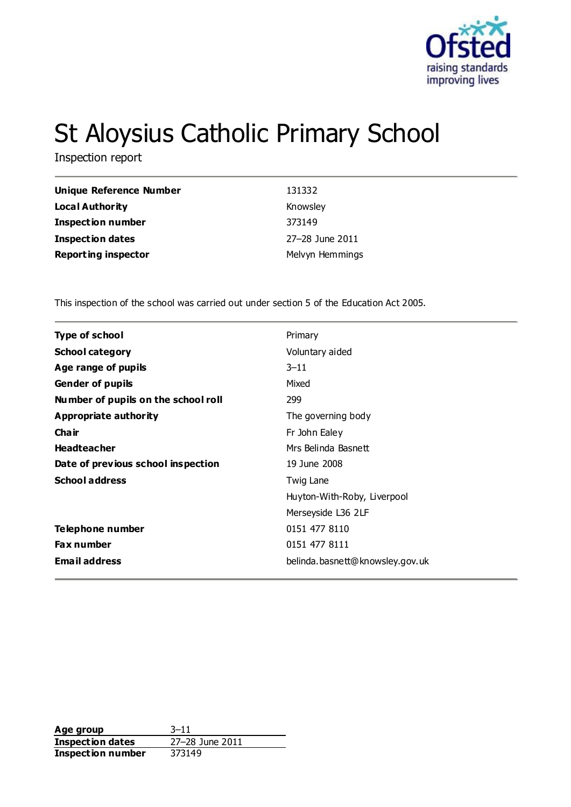

# St Aloysius Catholic Primary School

Inspection report

| Unique Reference Number    | 131332          |
|----------------------------|-----------------|
| <b>Local Authority</b>     | Knowsley        |
| <b>Inspection number</b>   | 373149          |
| <b>Inspection dates</b>    | 27-28 June 2011 |
| <b>Reporting inspector</b> | Melvyn Hemmings |

This inspection of the school was carried out under section 5 of the Education Act 2005.

| <b>Type of school</b>               | Primary                         |
|-------------------------------------|---------------------------------|
| <b>School category</b>              | Voluntary aided                 |
| Age range of pupils                 | $3 - 11$                        |
| <b>Gender of pupils</b>             | Mixed                           |
| Number of pupils on the school roll | 299                             |
| Appropriate authority               | The governing body              |
| Cha ir                              | Fr John Ealey                   |
| <b>Headteacher</b>                  | Mrs Belinda Basnett             |
| Date of previous school inspection  | 19 June 2008                    |
| <b>School address</b>               | Twig Lane                       |
|                                     | Huyton-With-Roby, Liverpool     |
|                                     | Merseyside L36 2LF              |
| Telephone number                    | 0151 477 8110                   |
| Fax number                          | 0151 477 8111                   |
| <b>Email address</b>                | belinda.basnett@knowsley.gov.uk |
|                                     |                                 |

**Age group** 3-11<br> **Inspection dates** 27-28 June 2011 **Inspection dates** 27–28 J<br>**Inspection number** 373149 **Inspection number**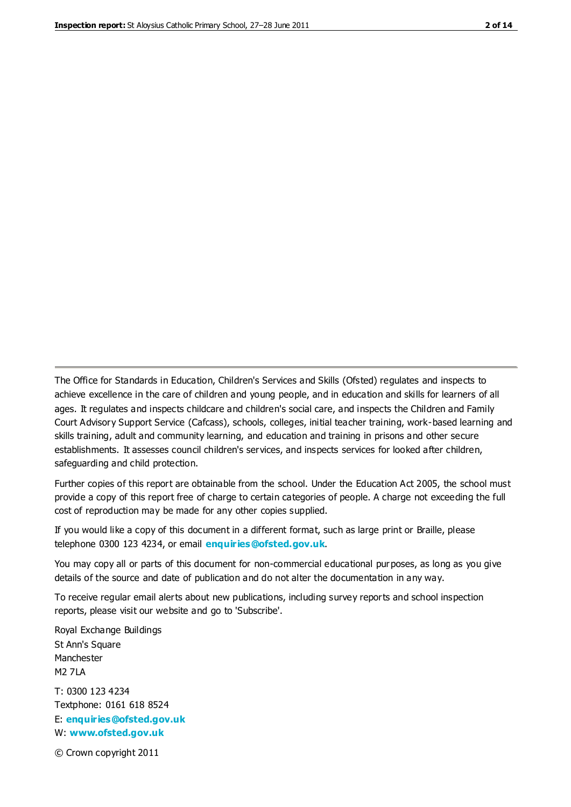The Office for Standards in Education, Children's Services and Skills (Ofsted) regulates and inspects to achieve excellence in the care of children and young people, and in education and skills for learners of all ages. It regulates and inspects childcare and children's social care, and inspects the Children and Family Court Advisory Support Service (Cafcass), schools, colleges, initial teacher training, work-based learning and skills training, adult and community learning, and education and training in prisons and other secure establishments. It assesses council children's services, and inspects services for looked after children, safeguarding and child protection.

Further copies of this report are obtainable from the school. Under the Education Act 2005, the school must provide a copy of this report free of charge to certain categories of people. A charge not exceeding the full cost of reproduction may be made for any other copies supplied.

If you would like a copy of this document in a different format, such as large print or Braille, please telephone 0300 123 4234, or email **[enquiries@ofsted.gov.uk](mailto:enquiries@ofsted.gov.uk)**.

You may copy all or parts of this document for non-commercial educational purposes, as long as you give details of the source and date of publication and do not alter the documentation in any way.

To receive regular email alerts about new publications, including survey reports and school inspection reports, please visit our website and go to 'Subscribe'.

Royal Exchange Buildings St Ann's Square Manchester M2 7LA T: 0300 123 4234 Textphone: 0161 618 8524 E: **[enquiries@ofsted.gov.uk](mailto:enquiries@ofsted.gov.uk)**

W: **[www.ofsted.gov.uk](http://www.ofsted.gov.uk/)**

© Crown copyright 2011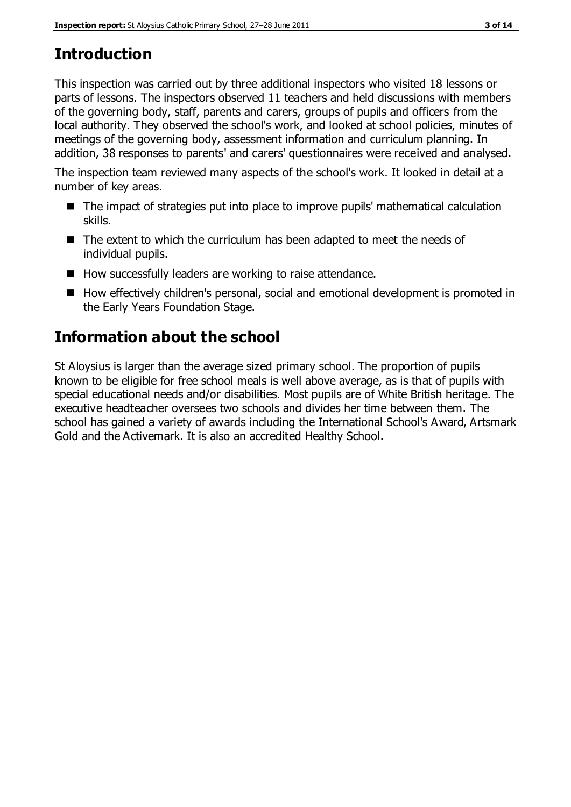## **Introduction**

This inspection was carried out by three additional inspectors who visited 18 lessons or parts of lessons. The inspectors observed 11 teachers and held discussions with members of the governing body, staff, parents and carers, groups of pupils and officers from the local authority. They observed the school's work, and looked at school policies, minutes of meetings of the governing body, assessment information and curriculum planning. In addition, 38 responses to parents' and carers' questionnaires were received and analysed.

The inspection team reviewed many aspects of the school's work. It looked in detail at a number of key areas.

- The impact of strategies put into place to improve pupils' mathematical calculation skills.
- The extent to which the curriculum has been adapted to meet the needs of individual pupils.
- How successfully leaders are working to raise attendance.
- How effectively children's personal, social and emotional development is promoted in the Early Years Foundation Stage.

## **Information about the school**

St Aloysius is larger than the average sized primary school. The proportion of pupils known to be eligible for free school meals is well above average, as is that of pupils with special educational needs and/or disabilities. Most pupils are of White British heritage. The executive headteacher oversees two schools and divides her time between them. The school has gained a variety of awards including the International School's Award, Artsmark Gold and the Activemark. It is also an accredited Healthy School.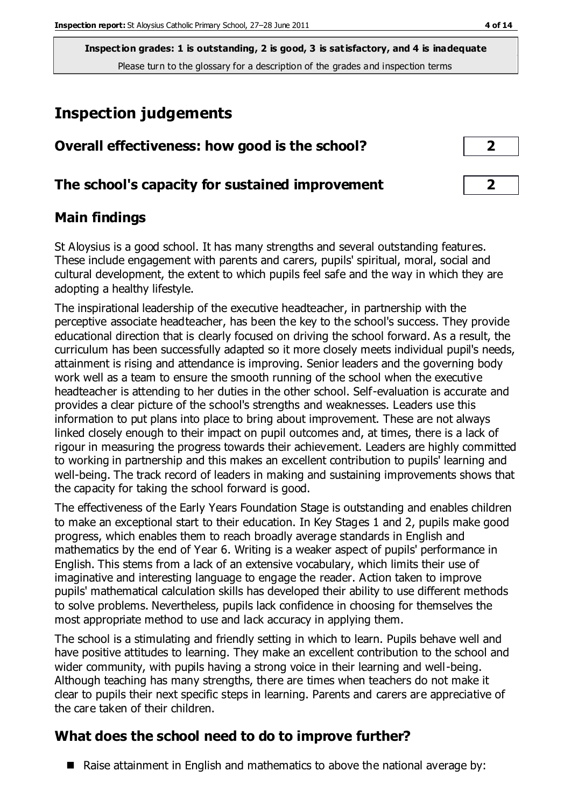**Inspection grades: 1 is outstanding, 2 is good, 3 is satisfactory, and 4 is inadequate** Please turn to the glossary for a description of the grades and inspection terms

## **Inspection judgements**

| Overall effectiveness: how good is the school?  |  |
|-------------------------------------------------|--|
| The school's capacity for sustained improvement |  |

## **Main findings**

St Aloysius is a good school. It has many strengths and several outstanding features. These include engagement with parents and carers, pupils' spiritual, moral, social and cultural development, the extent to which pupils feel safe and the way in which they are adopting a healthy lifestyle.

The inspirational leadership of the executive headteacher, in partnership with the perceptive associate headteacher, has been the key to the school's success. They provide educational direction that is clearly focused on driving the school forward. As a result, the curriculum has been successfully adapted so it more closely meets individual pupil's needs, attainment is rising and attendance is improving. Senior leaders and the governing body work well as a team to ensure the smooth running of the school when the executive headteacher is attending to her duties in the other school. Self-evaluation is accurate and provides a clear picture of the school's strengths and weaknesses. Leaders use this information to put plans into place to bring about improvement. These are not always linked closely enough to their impact on pupil outcomes and, at times, there is a lack of rigour in measuring the progress towards their achievement. Leaders are highly committed to working in partnership and this makes an excellent contribution to pupils' learning and well-being. The track record of leaders in making and sustaining improvements shows that the capacity for taking the school forward is good.

The effectiveness of the Early Years Foundation Stage is outstanding and enables children to make an exceptional start to their education. In Key Stages 1 and 2, pupils make good progress, which enables them to reach broadly average standards in English and mathematics by the end of Year 6. Writing is a weaker aspect of pupils' performance in English. This stems from a lack of an extensive vocabulary, which limits their use of imaginative and interesting language to engage the reader. Action taken to improve pupils' mathematical calculation skills has developed their ability to use different methods to solve problems. Nevertheless, pupils lack confidence in choosing for themselves the most appropriate method to use and lack accuracy in applying them.

The school is a stimulating and friendly setting in which to learn. Pupils behave well and have positive attitudes to learning. They make an excellent contribution to the school and wider community, with pupils having a strong voice in their learning and well-being. Although teaching has many strengths, there are times when teachers do not make it clear to pupils their next specific steps in learning. Parents and carers are appreciative of the care taken of their children.

## **What does the school need to do to improve further?**

 $\blacksquare$  Raise attainment in English and mathematics to above the national average by: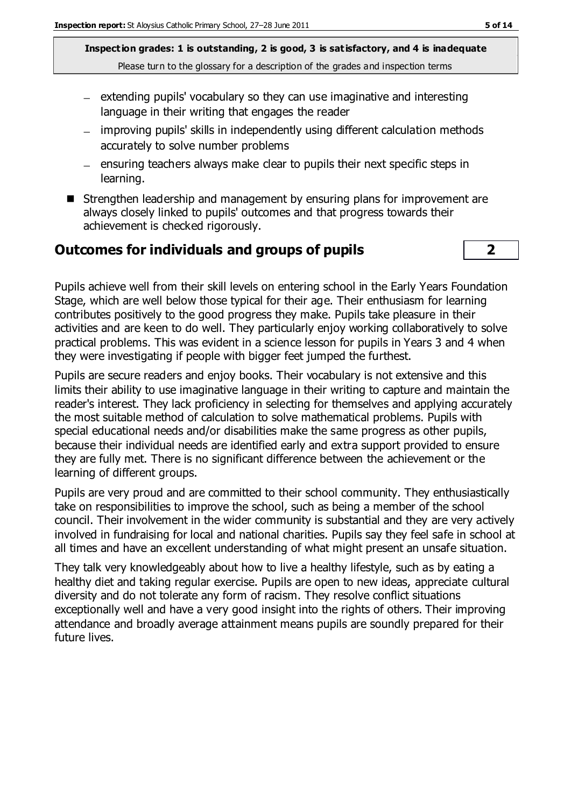**Inspection grades: 1 is outstanding, 2 is good, 3 is satisfactory, and 4 is inadequate** Please turn to the glossary for a description of the grades and inspection terms

- $-$  extending pupils' vocabulary so they can use imaginative and interesting language in their writing that engages the reader
- improving pupils' skills in independently using different calculation methods accurately to solve number problems
- $=$  ensuring teachers always make clear to pupils their next specific steps in learning.
- Strengthen leadership and management by ensuring plans for improvement are always closely linked to pupils' outcomes and that progress towards their achievement is checked rigorously.

#### **Outcomes for individuals and groups of pupils 2**

Pupils achieve well from their skill levels on entering school in the Early Years Foundation Stage, which are well below those typical for their age. Their enthusiasm for learning contributes positively to the good progress they make. Pupils take pleasure in their activities and are keen to do well. They particularly enjoy working collaboratively to solve practical problems. This was evident in a science lesson for pupils in Years 3 and 4 when they were investigating if people with bigger feet jumped the furthest.

Pupils are secure readers and enjoy books. Their vocabulary is not extensive and this limits their ability to use imaginative language in their writing to capture and maintain the reader's interest. They lack proficiency in selecting for themselves and applying accurately the most suitable method of calculation to solve mathematical problems. Pupils with special educational needs and/or disabilities make the same progress as other pupils, because their individual needs are identified early and extra support provided to ensure they are fully met. There is no significant difference between the achievement or the learning of different groups.

Pupils are very proud and are committed to their school community. They enthusiastically take on responsibilities to improve the school, such as being a member of the school council. Their involvement in the wider community is substantial and they are very actively involved in fundraising for local and national charities. Pupils say they feel safe in school at all times and have an excellent understanding of what might present an unsafe situation.

They talk very knowledgeably about how to live a healthy lifestyle, such as by eating a healthy diet and taking regular exercise. Pupils are open to new ideas, appreciate cultural diversity and do not tolerate any form of racism. They resolve conflict situations exceptionally well and have a very good insight into the rights of others. Their improving attendance and broadly average attainment means pupils are soundly prepared for their future lives.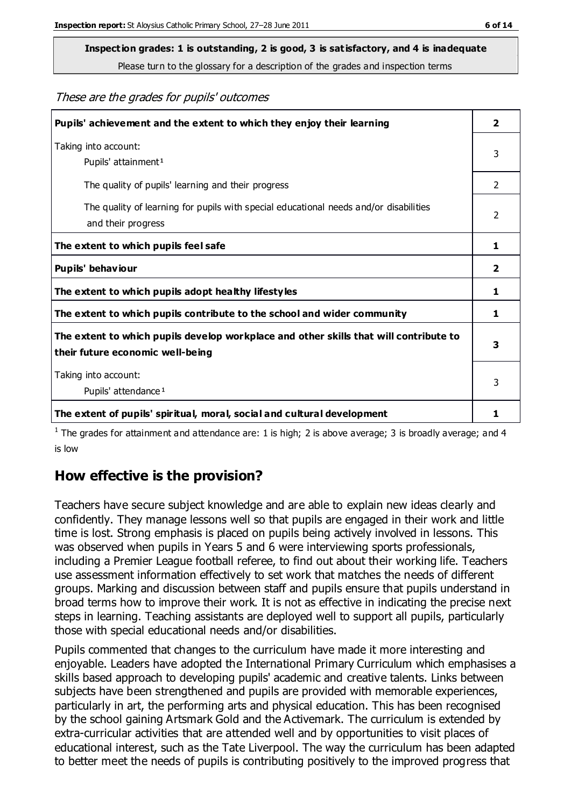## **Inspection grades: 1 is outstanding, 2 is good, 3 is satisfactory, and 4 is inadequate**

Please turn to the glossary for a description of the grades and inspection terms

These are the grades for pupils' outcomes

| Pupils' achievement and the extent to which they enjoy their learning                                                     | $\overline{\mathbf{2}}$ |
|---------------------------------------------------------------------------------------------------------------------------|-------------------------|
| Taking into account:<br>Pupils' attainment <sup>1</sup>                                                                   | 3                       |
| The quality of pupils' learning and their progress                                                                        | $\mathfrak{D}$          |
| The quality of learning for pupils with special educational needs and/or disabilities<br>and their progress               | $\overline{2}$          |
| The extent to which pupils feel safe                                                                                      | 1                       |
| Pupils' behaviour                                                                                                         | 2                       |
| The extent to which pupils adopt healthy lifestyles                                                                       | 1                       |
| The extent to which pupils contribute to the school and wider community                                                   | 1                       |
| The extent to which pupils develop workplace and other skills that will contribute to<br>their future economic well-being | 3                       |
| Taking into account:<br>Pupils' attendance <sup>1</sup>                                                                   | 3                       |
| The extent of pupils' spiritual, moral, social and cultural development                                                   | 1                       |

<sup>1</sup> The grades for attainment and attendance are: 1 is high; 2 is above average; 3 is broadly average; and 4 is low

## **How effective is the provision?**

Teachers have secure subject knowledge and are able to explain new ideas clearly and confidently. They manage lessons well so that pupils are engaged in their work and little time is lost. Strong emphasis is placed on pupils being actively involved in lessons. This was observed when pupils in Years 5 and 6 were interviewing sports professionals, including a Premier League football referee, to find out about their working life. Teachers use assessment information effectively to set work that matches the needs of different groups. Marking and discussion between staff and pupils ensure that pupils understand in broad terms how to improve their work. It is not as effective in indicating the precise next steps in learning. Teaching assistants are deployed well to support all pupils, particularly those with special educational needs and/or disabilities.

Pupils commented that changes to the curriculum have made it more interesting and enjoyable. Leaders have adopted the International Primary Curriculum which emphasises a skills based approach to developing pupils' academic and creative talents. Links between subjects have been strengthened and pupils are provided with memorable experiences, particularly in art, the performing arts and physical education. This has been recognised by the school gaining Artsmark Gold and the Activemark. The curriculum is extended by extra-curricular activities that are attended well and by opportunities to visit places of educational interest, such as the Tate Liverpool. The way the curriculum has been adapted to better meet the needs of pupils is contributing positively to the improved progress that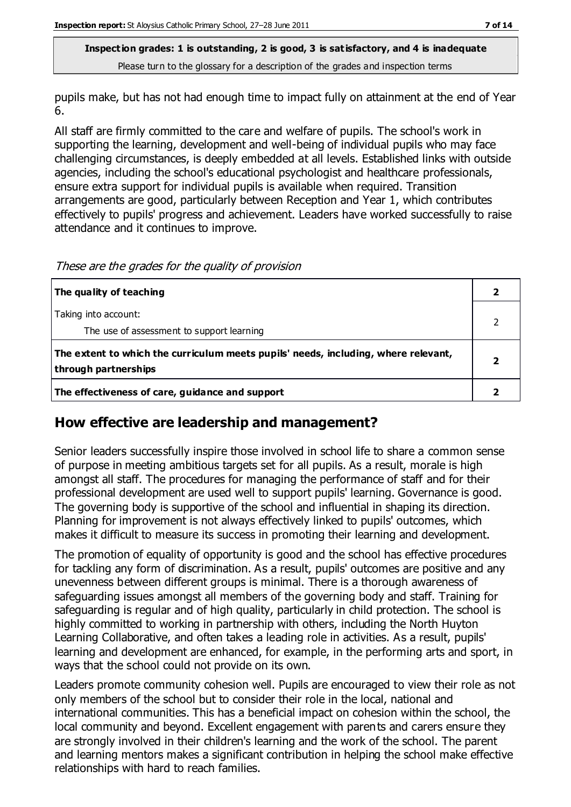**Inspection grades: 1 is outstanding, 2 is good, 3 is satisfactory, and 4 is inadequate** Please turn to the glossary for a description of the grades and inspection terms

pupils make, but has not had enough time to impact fully on attainment at the end of Year 6.

All staff are firmly committed to the care and welfare of pupils. The school's work in supporting the learning, development and well-being of individual pupils who may face challenging circumstances, is deeply embedded at all levels. Established links with outside agencies, including the school's educational psychologist and healthcare professionals, ensure extra support for individual pupils is available when required. Transition arrangements are good, particularly between Reception and Year 1, which contributes effectively to pupils' progress and achievement. Leaders have worked successfully to raise attendance and it continues to improve.

These are the grades for the quality of provision

| The quality of teaching                                                                                    |  |
|------------------------------------------------------------------------------------------------------------|--|
| Taking into account:<br>The use of assessment to support learning                                          |  |
| The extent to which the curriculum meets pupils' needs, including, where relevant,<br>through partnerships |  |
| The effectiveness of care, guidance and support                                                            |  |

## **How effective are leadership and management?**

Senior leaders successfully inspire those involved in school life to share a common sense of purpose in meeting ambitious targets set for all pupils. As a result, morale is high amongst all staff. The procedures for managing the performance of staff and for their professional development are used well to support pupils' learning. Governance is good. The governing body is supportive of the school and influential in shaping its direction. Planning for improvement is not always effectively linked to pupils' outcomes, which makes it difficult to measure its success in promoting their learning and development.

The promotion of equality of opportunity is good and the school has effective procedures for tackling any form of discrimination. As a result, pupils' outcomes are positive and any unevenness between different groups is minimal. There is a thorough awareness of safeguarding issues amongst all members of the governing body and staff. Training for safeguarding is regular and of high quality, particularly in child protection. The school is highly committed to working in partnership with others, including the North Huyton Learning Collaborative, and often takes a leading role in activities. As a result, pupils' learning and development are enhanced, for example, in the performing arts and sport, in ways that the school could not provide on its own.

Leaders promote community cohesion well. Pupils are encouraged to view their role as not only members of the school but to consider their role in the local, national and international communities. This has a beneficial impact on cohesion within the school, the local community and beyond. Excellent engagement with parents and carers ensure they are strongly involved in their children's learning and the work of the school. The parent and learning mentors makes a significant contribution in helping the school make effective relationships with hard to reach families.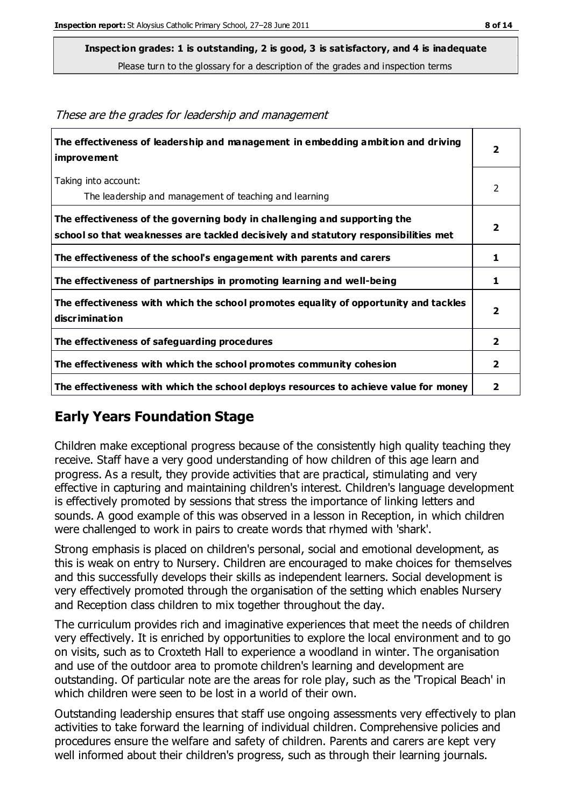**Inspection grades: 1 is outstanding, 2 is good, 3 is satisfactory, and 4 is inadequate**

Please turn to the glossary for a description of the grades and inspection terms

| The effectiveness of leadership and management in embedding ambition and driving<br>improvement                                                                  | $\overline{\mathbf{2}}$ |
|------------------------------------------------------------------------------------------------------------------------------------------------------------------|-------------------------|
| Taking into account:                                                                                                                                             | 2                       |
| The leadership and management of teaching and learning                                                                                                           |                         |
| The effectiveness of the governing body in challenging and supporting the<br>school so that weaknesses are tackled decisively and statutory responsibilities met | $\overline{2}$          |
| The effectiveness of the school's engagement with parents and carers                                                                                             | 1                       |
| The effectiveness of partnerships in promoting learning and well-being                                                                                           | 1                       |
| The effectiveness with which the school promotes equality of opportunity and tackles<br>discrimination                                                           | $\overline{2}$          |
| The effectiveness of safeguarding procedures                                                                                                                     | $\overline{2}$          |
| The effectiveness with which the school promotes community cohesion                                                                                              | $\overline{\mathbf{2}}$ |
| The effectiveness with which the school deploys resources to achieve value for money                                                                             | 2                       |

These are the grades for leadership and management

## **Early Years Foundation Stage**

Children make exceptional progress because of the consistently high quality teaching they receive. Staff have a very good understanding of how children of this age learn and progress. As a result, they provide activities that are practical, stimulating and very effective in capturing and maintaining children's interest. Children's language development is effectively promoted by sessions that stress the importance of linking letters and sounds. A good example of this was observed in a lesson in Reception, in which children were challenged to work in pairs to create words that rhymed with 'shark'.

Strong emphasis is placed on children's personal, social and emotional development, as this is weak on entry to Nursery. Children are encouraged to make choices for themselves and this successfully develops their skills as independent learners. Social development is very effectively promoted through the organisation of the setting which enables Nursery and Reception class children to mix together throughout the day.

The curriculum provides rich and imaginative experiences that meet the needs of children very effectively. It is enriched by opportunities to explore the local environment and to go on visits, such as to Croxteth Hall to experience a woodland in winter. The organisation and use of the outdoor area to promote children's learning and development are outstanding. Of particular note are the areas for role play, such as the 'Tropical Beach' in which children were seen to be lost in a world of their own.

Outstanding leadership ensures that staff use ongoing assessments very effectively to plan activities to take forward the learning of individual children. Comprehensive policies and procedures ensure the welfare and safety of children. Parents and carers are kept very well informed about their children's progress, such as through their learning journals.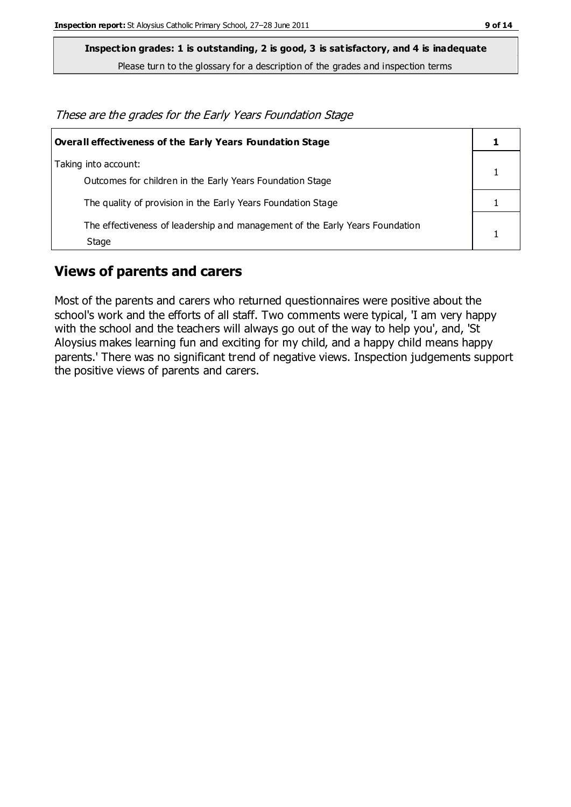**Inspection grades: 1 is outstanding, 2 is good, 3 is satisfactory, and 4 is inadequate**

Please turn to the glossary for a description of the grades and inspection terms

These are the grades for the Early Years Foundation Stage

| <b>Overall effectiveness of the Early Years Foundation Stage</b>                      |  |
|---------------------------------------------------------------------------------------|--|
| Taking into account:<br>Outcomes for children in the Early Years Foundation Stage     |  |
| The quality of provision in the Early Years Foundation Stage                          |  |
| The effectiveness of leadership and management of the Early Years Foundation<br>Stage |  |

## **Views of parents and carers**

Most of the parents and carers who returned questionnaires were positive about the school's work and the efforts of all staff. Two comments were typical, 'I am very happy with the school and the teachers will always go out of the way to help you', and, 'St Aloysius makes learning fun and exciting for my child, and a happy child means happy parents.' There was no significant trend of negative views. Inspection judgements support the positive views of parents and carers.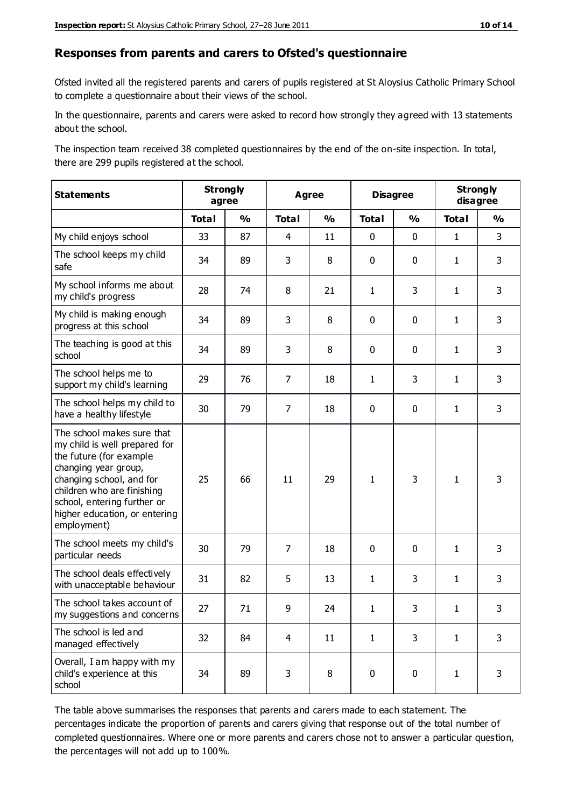#### **Responses from parents and carers to Ofsted's questionnaire**

Ofsted invited all the registered parents and carers of pupils registered at St Aloysius Catholic Primary School to complete a questionnaire about their views of the school.

In the questionnaire, parents and carers were asked to record how strongly they agreed with 13 statements about the school.

The inspection team received 38 completed questionnaires by the end of the on-site inspection. In total, there are 299 pupils registered at the school.

| <b>Statements</b>                                                                                                                                                                                                                                       |              | <b>Strongly</b><br>agree | <b>Agree</b>   |               | <b>Disagree</b> |               | <b>Strongly</b><br>disagree |               |
|---------------------------------------------------------------------------------------------------------------------------------------------------------------------------------------------------------------------------------------------------------|--------------|--------------------------|----------------|---------------|-----------------|---------------|-----------------------------|---------------|
|                                                                                                                                                                                                                                                         | <b>Total</b> | $\mathbf{O}/\mathbf{O}$  | <b>Total</b>   | $\frac{1}{2}$ | <b>Total</b>    | $\frac{1}{2}$ | <b>Total</b>                | $\frac{1}{2}$ |
| My child enjoys school                                                                                                                                                                                                                                  | 33           | 87                       | 4              | 11            | 0               | $\mathbf 0$   | $\mathbf{1}$                | 3             |
| The school keeps my child<br>safe                                                                                                                                                                                                                       | 34           | 89                       | 3              | 8             | 0               | 0             | $\mathbf{1}$                | 3             |
| My school informs me about<br>my child's progress                                                                                                                                                                                                       | 28           | 74                       | 8              | 21            | 1               | 3             | $\mathbf{1}$                | 3             |
| My child is making enough<br>progress at this school                                                                                                                                                                                                    | 34           | 89                       | 3              | 8             | 0               | 0             | $\mathbf{1}$                | 3             |
| The teaching is good at this<br>school                                                                                                                                                                                                                  | 34           | 89                       | 3              | 8             | 0               | 0             | $\mathbf{1}$                | 3             |
| The school helps me to<br>support my child's learning                                                                                                                                                                                                   | 29           | 76                       | 7              | 18            | 1               | 3             | 1                           | 3             |
| The school helps my child to<br>have a healthy lifestyle                                                                                                                                                                                                | 30           | 79                       | $\overline{7}$ | 18            | 0               | 0             | 1                           | 3             |
| The school makes sure that<br>my child is well prepared for<br>the future (for example<br>changing year group,<br>changing school, and for<br>children who are finishing<br>school, entering further or<br>higher education, or entering<br>employment) | 25           | 66                       | 11             | 29            | $\mathbf{1}$    | 3             | 1                           | 3             |
| The school meets my child's<br>particular needs                                                                                                                                                                                                         | 30           | 79                       | $\overline{7}$ | 18            | 0               | $\mathbf 0$   | 1                           | 3             |
| The school deals effectively<br>with unacceptable behaviour                                                                                                                                                                                             | 31           | 82                       | 5              | 13            | 1               | 3             | $\mathbf{1}$                | 3             |
| The school takes account of<br>my suggestions and concerns                                                                                                                                                                                              | 27           | 71                       | 9              | 24            | 1               | 3             | 1                           | 3             |
| The school is led and<br>managed effectively                                                                                                                                                                                                            | 32           | 84                       | $\overline{4}$ | 11            | $\mathbf{1}$    | 3             | $\mathbf{1}$                | 3             |
| Overall, I am happy with my<br>child's experience at this<br>school                                                                                                                                                                                     | 34           | 89                       | 3              | 8             | 0               | 0             | $\mathbf{1}$                | 3             |

The table above summarises the responses that parents and carers made to each statement. The percentages indicate the proportion of parents and carers giving that response out of the total number of completed questionnaires. Where one or more parents and carers chose not to answer a particular question, the percentages will not add up to 100%.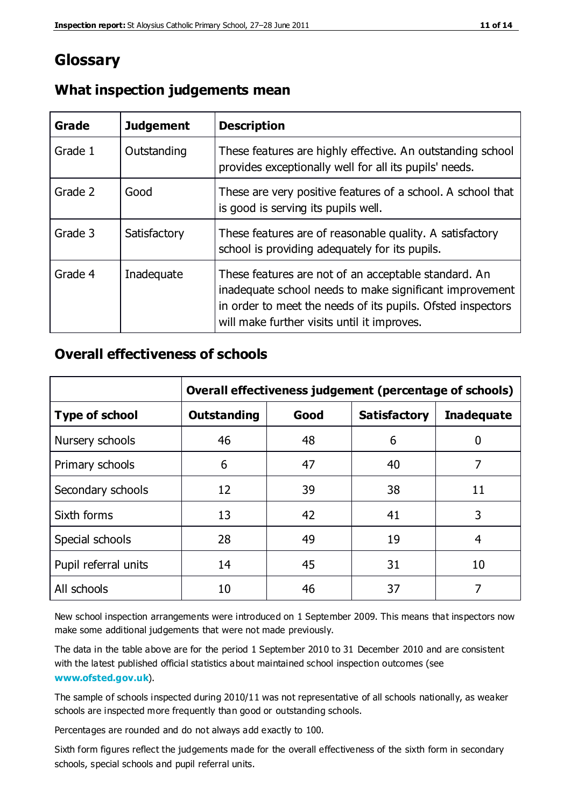## **Glossary**

| Grade   | <b>Judgement</b> | <b>Description</b>                                                                                                                                                                                                            |
|---------|------------------|-------------------------------------------------------------------------------------------------------------------------------------------------------------------------------------------------------------------------------|
| Grade 1 | Outstanding      | These features are highly effective. An outstanding school<br>provides exceptionally well for all its pupils' needs.                                                                                                          |
| Grade 2 | Good             | These are very positive features of a school. A school that<br>is good is serving its pupils well.                                                                                                                            |
| Grade 3 | Satisfactory     | These features are of reasonable quality. A satisfactory<br>school is providing adequately for its pupils.                                                                                                                    |
| Grade 4 | Inadequate       | These features are not of an acceptable standard. An<br>inadequate school needs to make significant improvement<br>in order to meet the needs of its pupils. Ofsted inspectors<br>will make further visits until it improves. |

## **What inspection judgements mean**

## **Overall effectiveness of schools**

|                       | Overall effectiveness judgement (percentage of schools) |      |                     |                   |
|-----------------------|---------------------------------------------------------|------|---------------------|-------------------|
| <b>Type of school</b> | <b>Outstanding</b>                                      | Good | <b>Satisfactory</b> | <b>Inadequate</b> |
| Nursery schools       | 46                                                      | 48   | 6                   |                   |
| Primary schools       | 6                                                       | 47   | 40                  | 7                 |
| Secondary schools     | 12                                                      | 39   | 38                  | 11                |
| Sixth forms           | 13                                                      | 42   | 41                  | 3                 |
| Special schools       | 28                                                      | 49   | 19                  | 4                 |
| Pupil referral units  | 14                                                      | 45   | 31                  | 10                |
| All schools           | 10                                                      | 46   | 37                  |                   |

New school inspection arrangements were introduced on 1 September 2009. This means that inspectors now make some additional judgements that were not made previously.

The data in the table above are for the period 1 September 2010 to 31 December 2010 and are consistent with the latest published official statistics about maintained school inspection outcomes (see **[www.ofsted.gov.uk](http://www.ofsted.gov.uk/)**).

The sample of schools inspected during 2010/11 was not representative of all schools nationally, as weaker schools are inspected more frequently than good or outstanding schools.

Percentages are rounded and do not always add exactly to 100.

Sixth form figures reflect the judgements made for the overall effectiveness of the sixth form in secondary schools, special schools and pupil referral units.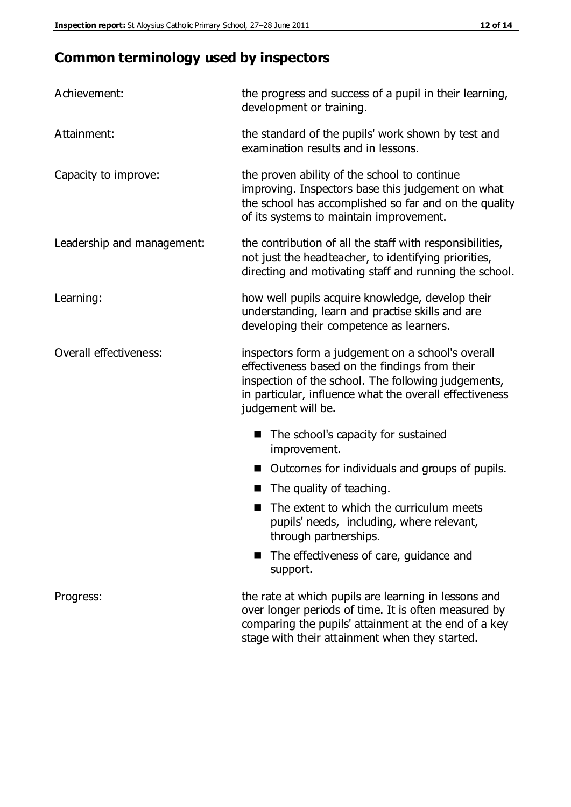## **Common terminology used by inspectors**

| Achievement:                  | the progress and success of a pupil in their learning,<br>development or training.                                                                                                                                                          |  |  |
|-------------------------------|---------------------------------------------------------------------------------------------------------------------------------------------------------------------------------------------------------------------------------------------|--|--|
| Attainment:                   | the standard of the pupils' work shown by test and<br>examination results and in lessons.                                                                                                                                                   |  |  |
| Capacity to improve:          | the proven ability of the school to continue<br>improving. Inspectors base this judgement on what<br>the school has accomplished so far and on the quality<br>of its systems to maintain improvement.                                       |  |  |
| Leadership and management:    | the contribution of all the staff with responsibilities,<br>not just the headteacher, to identifying priorities,<br>directing and motivating staff and running the school.                                                                  |  |  |
| Learning:                     | how well pupils acquire knowledge, develop their<br>understanding, learn and practise skills and are<br>developing their competence as learners.                                                                                            |  |  |
| <b>Overall effectiveness:</b> | inspectors form a judgement on a school's overall<br>effectiveness based on the findings from their<br>inspection of the school. The following judgements,<br>in particular, influence what the overall effectiveness<br>judgement will be. |  |  |
|                               | The school's capacity for sustained<br>improvement.                                                                                                                                                                                         |  |  |
|                               | Outcomes for individuals and groups of pupils.                                                                                                                                                                                              |  |  |
|                               | The quality of teaching.                                                                                                                                                                                                                    |  |  |
|                               | The extent to which the curriculum meets<br>pupils' needs, including, where relevant,<br>through partnerships.                                                                                                                              |  |  |
|                               | The effectiveness of care, guidance and<br>support.                                                                                                                                                                                         |  |  |
| Progress:                     | the rate at which pupils are learning in lessons and<br>over longer periods of time. It is often measured by<br>comparing the pupils' attainment at the end of a key                                                                        |  |  |

stage with their attainment when they started.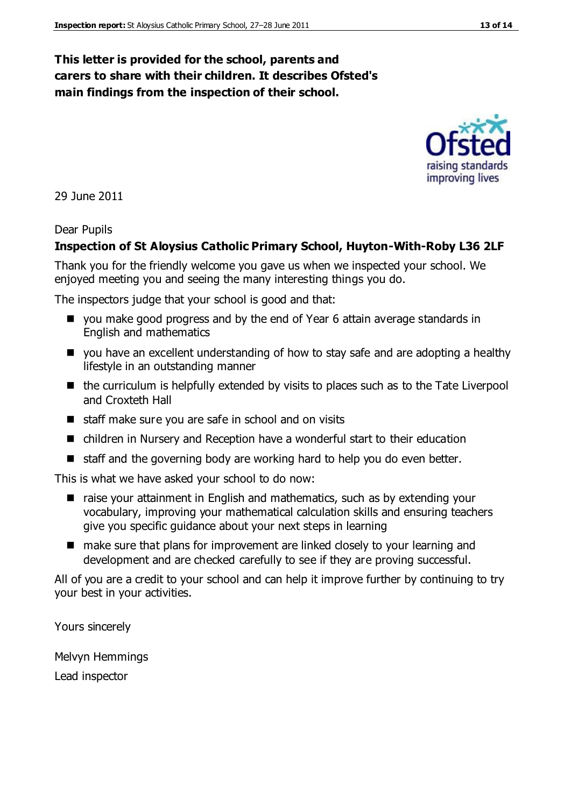## **This letter is provided for the school, parents and carers to share with their children. It describes Ofsted's main findings from the inspection of their school.**

29 June 2011

#### Dear Pupils

#### **Inspection of St Aloysius Catholic Primary School, Huyton-With-Roby L36 2LF**

Thank you for the friendly welcome you gave us when we inspected your school. We enjoyed meeting you and seeing the many interesting things you do.

The inspectors judge that your school is good and that:

- you make good progress and by the end of Year 6 attain average standards in English and mathematics
- you have an excellent understanding of how to stay safe and are adopting a healthy lifestyle in an outstanding manner
- $\blacksquare$  the curriculum is helpfully extended by visits to places such as to the Tate Liverpool and Croxteth Hall
- $\blacksquare$  staff make sure you are safe in school and on visits
- children in Nursery and Reception have a wonderful start to their education
- $\blacksquare$  staff and the governing body are working hard to help you do even better.

This is what we have asked your school to do now:

- raise your attainment in English and mathematics, such as by extending your vocabulary, improving your mathematical calculation skills and ensuring teachers give you specific guidance about your next steps in learning
- make sure that plans for improvement are linked closely to your learning and development and are checked carefully to see if they are proving successful.

All of you are a credit to your school and can help it improve further by continuing to try your best in your activities.

Yours sincerely

Melvyn Hemmings Lead inspector